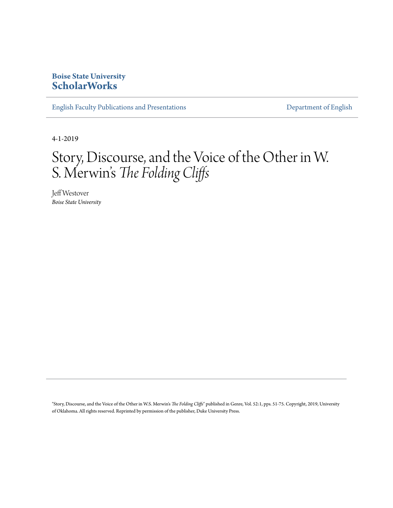### **Boise State University [ScholarWorks](https://scholarworks.boisestate.edu)**

[English Faculty Publications and Presentations](https://scholarworks.boisestate.edu/english_facpubs) **[Department of English](https://scholarworks.boisestate.edu/english)** 

4-1-2019

# Story, Discourse, and the Voice of the Other in W. S. Merwin' s *The Folding Cliffs*

Jeff Westover *Boise State University*

"Story, Discourse, and the Voice of the Other in W.S. Merwin's *The Folding Cliffs*" published in Genre, Vol. 52:1, pps. 51-75. Copyright, 2019, University of Oklahoma. All rights reserved. Reprinted by permission of the publisher, Duke University Press.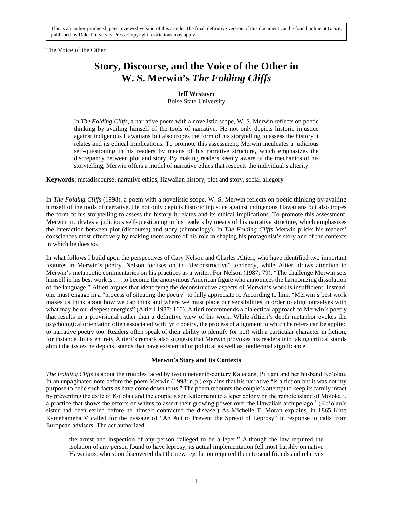The Voice of the Other

## **Story, Discourse, and the Voice of the Other in W. S. Merwin's** *The Folding Cliffs*

#### **Jeff Westover**

Boise State University

In *The Folding Cliffs*, a narrative poem with a novelistic scope, W. S. Merwin reflects on poetic thinking by availing himself of the tools of narrative. He not only depicts historic injustice against indigenous Hawaiians but also tropes the form of his storytelling to assess the history it relates and its ethical implications. To promote this assessment, Merwin inculcates a judicious self-questioning in his readers by means of his narrative structure, which emphasizes the discrepancy between plot and story. By making readers keenly aware of the mechanics of his storytelling, Merwin offers a model of narrative ethics that respects the individual's alterity.

**Keywords:** metadiscourse, narrative ethics, Hawaiian history, plot and story, social allegory

In *The Folding Cliffs* (1998), a poem with a novelistic scope, W. S. Merwin reflects on poetic thinking by availing himself of the tools of narrative. He not only depicts historic injustice against indigenous Hawaiians but also tropes the form of his storytelling to assess the history it relates and its ethical implications. To promote this assessment, Merwin inculcates a judicious self-questioning in his readers by means of his narrative structure, which emphasizes the interaction between plot (discourse) and story (chronology). In *The Folding Cliffs* Merwin pricks his readers' consciences most effectively by making them aware of his role in shaping his protagonist's story and of the contexts in which he does so.

In what follows I build upon the perspectives of Cary Nelson and Charles Altieri, who have identified two important features in Merwin's poetry. Nelson focuses on its "deconstructive" tendency, while Altieri draws attention to Merwin's metapoetic commentaries on his practices as a writer. For Nelson (1987: 79), "The challenge Merwin sets himself in his best work is . . . to become the anonymous American figure who announces the harmonizing dissolution of the language." Altieri argues that identifying the deconstructive aspects of Merwin's work is insufficient. Instead, one must engage in a "process of situating the poetry" to fully appreciate it. According to him, "Merwin's best work makes us think about how we can think and where we must place our sensibilities in order to align ourselves with what may be our deepest energies" (Altieri 1987: 160). Altieri recommends a dialectical approach to Merwin's poetry that results in a provisional rather than a definitive view of his work. While Altieri's depth metaphor evokes the psychological orientation often associated with lyric poetry, the process of alignment to which he refers can be applied to narrative poetry too. Readers often speak of their ability to identify (or not) with a particular character in fiction, for instance. In its entirety Altieri's remark also suggests that Merwin provokes his readers into taking critical stands about the issues he depicts, stands that have existential or political as well as intellectual significance.

#### **Merwin's Story and Its Contexts**

*The Folding Cliffs* is about the troubles faced by two nineteenth-century Kauaians, Piʻilani and her husband Koʻolau. In an unpaginated note before the poem Merwin (1998: n.p.) explains that his narrative "is a fiction but it was not my purpose to belie such facts as have come down to us." The poem recounts the couple's attempt to keep its family intact by preventing the exile of Koʻolau and the couple's son Kaleimanu to a leper colony on the remote island of Molokaʻi, a practice that shows the efforts of whites to assert their growing power over the Hawaiian archipelago.<sup>1</sup> (Koʻolau's sister had been exiled before he himself contracted the disease.) As Michelle T. Moran explains, in 1865 King Kamehameha V called for the passage of "An Act to Prevent the Spread of Leprosy" in response to calls from European advisers. The act authorized

the arrest and inspection of any person "alleged to be a leper." Although the law required the isolation of any person found to have leprosy, its actual implementation fell most harshly on native Hawaiians, who soon discovered that the new regulation required them to send friends and relatives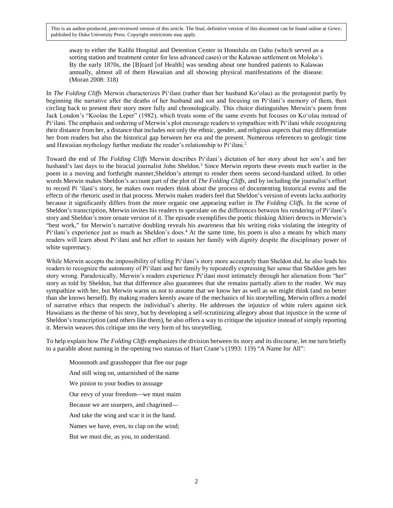away to either the Kalihi Hospital and Detention Center in Honolulu on Oahu (which served as a sorting station and treatment center for less advanced cases) or the Kalawao settlement on Molokaʻi. By the early 1870s, the [B]oard [of Health] was sending about one hundred patients to Kalawao annually, almost all of them Hawaiian and all showing physical manifestations of the disease. (Moran 2008: 318)

In *The Folding Cliffs* Merwin characterizes Piʻilani (rather than her husband Koʻolau) as the protagonist partly by beginning the narrative after the deaths of her husband and son and focusing on Piʻilani's memory of them, then circling back to present their story more fully and chronologically. This choice distinguishes Merwin's poem from Jack London's "Koolau the Leper" (1982), which treats some of the same events but focuses on Koʻolau instead of Piʻilani. The emphasis and ordering of Merwin's plot encourage readers to sympathize with Piʻilani while recognizing their distance from her, a distance that includes not only the ethnic, gender, and religious aspects that may differentiate her from readers but also the historical gap between her era and the present. Numerous references to geologic time and Hawaiian mythology further mediate the reader's relationship to Piʻilani.<sup>2</sup>

Toward the end of *The Folding Cliffs* Merwin describes Piʻilani's dictation of her story about her son's and her husband's last days to the biracial journalist John Sheldon.<sup>3</sup> Since Merwin reports these events much earlier in the poem in a moving and forthright manner,Sheldon's attempt to render them seems second-handand stilted. In other words Merwin makes Sheldon's account part of the plot of *The Folding Cliffs*, and by including the journalist's effort to record Pi 'ilani's story, he makes own readers think about the process of documenting historical events and the effects of the rhetoric used in that process. Merwin makes readers feel that Sheldon's version of events lacks authority because it significantly differs from the more organic one appearing earlier in *The Folding Cliffs*. In the scene of Sheldon's transcription, Merwin invites his readers to speculate on the differences between his rendering of Piʻilani's story and Sheldon's more ornate version of it. The episode exemplifies the poetic thinking Altieri detects in Merwin's "best work," for Merwin's narrative doubling reveals his awareness that his writing risks violating the integrity of Pi'ilani's experience just as much as Sheldon's does.<sup>4</sup> At the same time, his poem is also a means by which many readers will learn about Piʻilani and her effort to sustain her family with dignity despite the disciplinary power of white supremacy.

While Merwin accepts the impossibility of telling Pi'ilani's story more accurately than Sheldon did, he also leads his readers to recognize the autonomy of Piʻilani and her family by repeatedly expressing her sense that Sheldon gets her story wrong. Paradoxically, Merwin's readers experience Piʻilani most intimately through her alienation from "her" story as told by Sheldon, but that difference also guarantees that she remains partially alien to the reader. We may sympathize with her, but Merwin warns us not to assume that we know her as well as we might think (and no better than she knows herself). By making readers keenly aware of the mechanics of his storytelling, Merwin offers a model of narrative ethics that respects the individual's alterity. He addresses the injustice of white rulers against sick Hawaiians as the theme of his story, but by developing a self-scrutinizing allegory about that injustice in the scene of Sheldon's transcription (and others like them), he also offers a way to critique the injustice instead of simply reporting it. Merwin weaves this critique into the very form of his storytelling.

To help explain how *The Folding Cliffs* emphasizes the division between its story and its discourse, let me turn briefly to a parable about naming in the opening two stanzas of Hart Crane's (1993: 119) "A Name for All":

Moonmoth and grasshopper that flee our page And still wing on, untarnished of the name We pinion to your bodies to assuage Our envy of your freedom—we must maim Because we are usurpers, and chagrined— And take the wing and scar it in the hand. Names we have, even, to clap on the wind; But we must die, as you, to understand.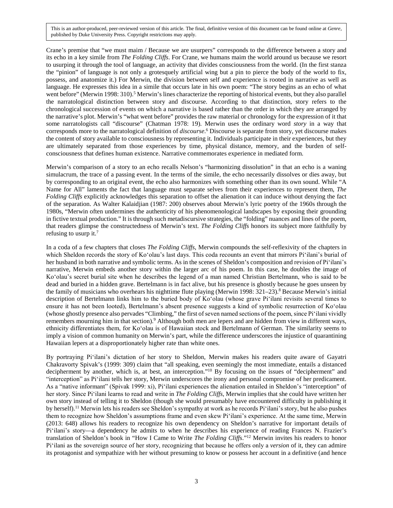Crane's premise that "we must maim / Because we are usurpers" corresponds to the difference between a story and its echo in a key simile from *The Folding Cliffs*. For Crane, we humans maim the world around us because we resort to usurping it through the tool of language, an activity that divides consciousness from the world. (In the first stanza the "pinion" of language is not only a grotesquely artificial wing but a pin to pierce the body of the world to fix, possess, and anatomize it.) For Merwin, the division between self and experience is rooted in narrative as well as language. He expresses this idea in a simile that occurs late in his own poem: "The story begins as an echo of what went before" (Merwin 1998: 310).<sup>5</sup> Merwin's lines characterize the reporting of historical events, but they also parallel the narratological distinction between story and discourse. According to that distinction, story refers to the chronological succession of events on which a narrative is based rather than the order in which they are arranged by the narrative's plot. Merwin's "what went before" provides the raw material or chronology for the expression of it that some narratologists call "discourse" (Chatman 1978: 19). Merwin uses the ordinary word *story* in a way that corresponds more to the narratological definition of *discourse*.<sup>6</sup> Discourse is separate from story, yet discourse makes the content of story available to consciousness by representing it. Individuals participate in their experiences, but they are ultimately separated from those experiences by time, physical distance, memory, and the burden of selfconsciousness that defines human existence. Narrative commemorates experience in mediated form.

Merwin's comparison of a story to an echo recalls Nelson's "harmonizing dissolution" in that an echo is a waning simulacrum, the trace of a passing event. In the terms of the simile, the echo necessarily dissolves or dies away, but by corresponding to an original event, the echo also harmonizes with something other than its own sound. While "A Name for All" laments the fact that language must separate selves from their experiences to represent them, *The Folding Cliffs* explicitly acknowledges this separation to offset the alienation it can induce without denying the fact of the separation. As Walter Kalaidjian (1987: 200) observes about Merwin's lyric poetry of the 1960s through the 1980s, "Merwin often undermines the authenticity of his phenomenological landscapes by exposing their grounding in fictive textual production." It is through such metadiscursive strategies, the "folding" nuances and lines of the poem, that readers glimpse the constructedness of Merwin's text. *The Folding Cliffs* honors its subject more faithfully by refusing to usurp it.<sup>7</sup>

In a coda of a few chapters that closes *The Folding Cliffs*, Merwin compounds the self-reflexivity of the chapters in which Sheldon records the story of Koʻolau's last days. This coda recounts an event that mirrors Piʻilani's burial of her husband in both narrative and symbolic terms. As in the scenes of Sheldon's composition and revision of Piʻilani's narrative, Merwin embeds another story within the larger arc of his poem. In this case, he doubles the image of Koʻolau's secret burial site when he describes the legend of a man named Christian Bertelmann, who is said to be dead and buried in a hidden grave. Bertelmann is in fact alive, but his presence is ghostly because he goes unseen by the family of musicians who overhears his nighttime flute playing (Merwin 1998: 321–23).<sup>8</sup> Because Merwin's initial description of Bertelmann links him to the buried body of Koʻolau (whose grave Piʻilani revisits several times to ensure it has not been looted), Bertelmann's absent presence suggests a kind of symbolic resurrection of Koʻolau (whose ghostly presence also pervades "Climbing," the first of seven named sections of the poem, since Pi'ilani vividly remembers mourning him in that section).<sup>9</sup> Although both men are lepers and are hidden from view in different ways, ethnicity differentiates them, for Koʻolau is of Hawaiian stock and Bertelmann of German. The similarity seems to imply a vision of common humanity on Merwin's part, while the difference underscores the injustice of quarantining Hawaiian lepers at a disproportionately higher rate than white ones.

By portraying Piʻilani's dictation of her story to Sheldon, Merwin makes his readers quite aware of Gayatri Chakravorty Spivak's (1999: 309) claim that "all speaking, even seemingly the most immediate, entails a distanced decipherment by another, which is, at best, an interception."10 By focusing on the issues of "decipherment" and "interception" as Piʻilani tells her story, Merwin underscores the irony and personal compromise of her predicament. As a "native informant" (Spivak 1999: xi), Piʻilani experiences the alienation entailed in Sheldon's "interception" of her story. Since Piʻilani learns to read and write in *The Folding Cliffs*, Merwin implies that she could have written her own story instead of telling it to Sheldon (though she would presumably have encountered difficulty in publishing it by herself).11 Merwin lets his readers see Sheldon's sympathy at work as he records Piʻilani's story, but he also pushes them to recognize how Sheldon's assumptions frame and even skew Piʻilani's experience. At the same time, Merwin (2013: 648) allows his readers to recognize his own dependency on Sheldon's narrative for important details of Piʻilani's story—a dependency he admits to when he describes his experience of reading Frances N. Frazier's translation of Sheldon's book in "How I Came to Write *The Folding Cliffs*."12 Merwin invites his readers to honor Piʻilani as the sovereign source of her story, recognizing that because he offers only a *version* of it, they can admire its protagonist and sympathize with her without presuming to know or possess her account in a definitive (and hence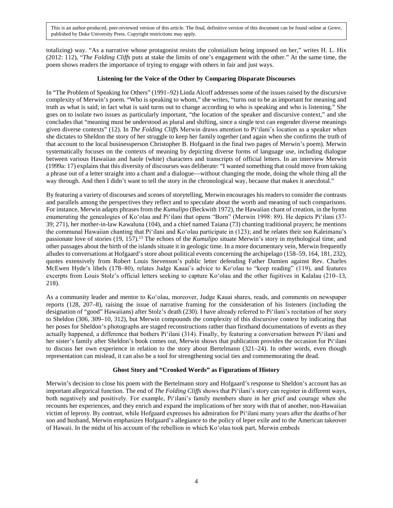totalizing) way. "As a narrative whose protagonist resists the colonialism being imposed on her," writes H. L. Hix (2012: 112), "*The Folding Cliffs* puts at stake the limits of one's engagement with the other." At the same time, the poem shows readers the importance of trying to engage with others in fair and just ways.

#### **Listening for the Voice of the Other by Comparing Disparate Discourses**

In "The Problem of Speaking for Others" (1991–92) Linda Alcoff addresses some of the issues raised by the discursive complexity of Merwin's poem. "Who is speaking to whom," she writes, "turns out to be as important for meaning and truth as what is said; in fact what is said turns out to change according to who is speaking and who is listening." She goes on to isolate two issues as particularly important, "the location of the speaker and discursive context," and she concludes that "meaning must be understood as plural and shifting, since a single text can engender diverse meanings given diverse contexts" (12). In *The Folding Cliffs* Merwin draws attention to Piʻilani's location as a speaker when she dictates to Sheldon the story of her struggle to keep her family together (and again when she confirms the truth of that account to the local businessperson Christopher B. Hofgaard in the final two pages of Merwin's poem). Merwin systematically focuses on the contexts of meaning by depicting diverse forms of language use, including dialogue between various Hawaiian and haole (white) characters and transcripts of official letters. In an interview Merwin (1999a: 17) explains that this diversity of discourses was deliberate: "I wanted something that could move from taking a phrase out of a letter straight into a chant and a dialogue—without changing the mode, doing the whole thing all the way through. And then I didn't want to tell the story in the chronological way, because that makes it anecdotal."

By featuring a variety of discourses and scenes of storytelling, Merwin encourages his readers to consider the contrasts and parallels among the perspectives they reflect and to speculate about the worth and meaning of such comparisons. For instance, Merwin adapts phrases from the *Kumulipo* (Beckwith 1972), the Hawaiian chant of creation, in the hymn enumerating the genealogies of Koʻolau and Piʻilani that opens "Born" (Merwin 1998: 89). He depicts Piʻilani (37- 39; 271), her mother-in-law Kawaluna (104), and a chief named Taiana (73) chanting traditional prayers; he mentions the communal Hawaiian chanting that Piʻilani and Koʻolau participate in (123); and he relates their son Kaleimanu's passionate love of stories (19, 157).13 The echoes of the *Kumulipo* situate Merwin's story in mythological time, and other passages about the birth of the islands situate it in geologic time. In a more documentary vein, Merwin frequently alludes to conversations at Hofgaard's store about political events concerning the archipelago (158–59, 164, 181, 232), quotes extensively from Robert Louis Stevenson's public letter defending Father Damien against Rev. Charles McEwen Hyde's libels (178–80), relates Judge Kauai's advice to Koʻolau to "keep reading" (119), and features excerpts from Louis Stolz's official letters seeking to capture Koʻolau and the other fugitives in Kalalau (210–13, 218).

As a community leader and mentor to Koʻolau, moreover, Judge Kauai shares, reads, and comments on newspaper reports (128, 207–8), raising the issue of narrative framing for the consideration of his listeners (including the designation of "good" Hawaiians) after Stolz's death (230). I have already referred to Piʻilani's recitation of her story to Sheldon (306, 309–10, 312), but Merwin compounds the complexity of this discursive context by indicating that her poses for Sheldon's photographs are staged reconstructions rather than firsthand documentations of events as they actually happened, a difference that bothers Piʻilani (314). Finally, by featuring a conversation between Piʻilani and her sister's family after Sheldon's book comes out, Merwin shows that publication provides the occasion for Piʻilani to discuss her own experience in relation to the story about Bertelmann (321–24). In other words, even though representation can mislead, it can also be a tool for strengthening social ties and commemorating the dead.

#### **Ghost Story and "Crooked Words" as Figurations of History**

Merwin's decision to close his poem with the Bertelmann story and Hofgaard's response to Sheldon's account has an important allegorical function. The end of *The Folding Cliffs* shows that Piʻilani's story can register in different ways, both negatively and positively. For example, Piʻilani's family members share in her grief and courage when she recounts her experiences, and they enrich and expand the implications of her story with that of another, non-Hawaiian victim of leprosy. By contrast, while Hofgaard expresses his admiration for Piʻilani many years after the deaths of her son and husband, Merwin emphasizes Hofgaard's allegiance to the policy of leper exile and to the American takeover of Hawaii. In the midst of his account of the rebellion in which Koʻolau took part, Merwin embeds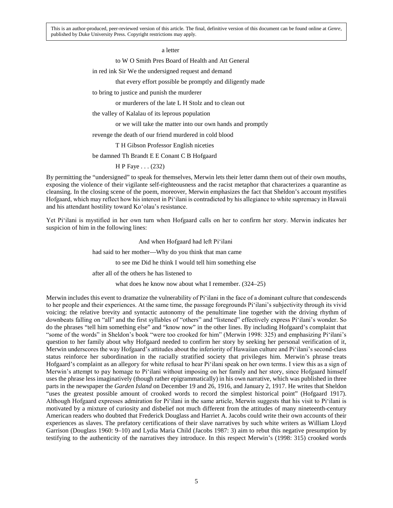a letter

to W O Smith Pres Board of Health and Att General

in red ink Sir We the undersigned request and demand

that every effort possible be promptly and diligently made

to bring to justice and punish the murderer

or murderers of the late L H Stolz and to clean out

the valley of Kalalau of its leprous population

or we will take the matter into our own hands and promptly

revenge the death of our friend murdered in cold blood

T H Gibson Professor English niceties

be damned Th Brandt E E Conant C B Hofgaard

H P Faye . . . (232)

By permitting the "undersigned" to speak for themselves, Merwin lets their letter damn them out of their own mouths, exposing the violence of their vigilante self-righteousness and the racist metaphor that characterizes a quarantine as cleansing. In the closing scene of the poem, moreover, Merwin emphasizes the fact that Sheldon's account mystifies Hofgaard, which may reflect how his interest in Piʻilani is contradicted by his allegiance to white supremacy in Hawaii and his attendant hostility toward Koʻolau's resistance.

Yet Piʻilani is mystified in her own turn when Hofgaard calls on her to confirm her story. Merwin indicates her suspicion of him in the following lines:

> And when Hofgaard had left Piʻilani had said to her mother—Why do you think that man came to see me Did he think I would tell him something else after all of the others he has listened to what does he know now about what I remember. (324–25)

Merwin includes this event to dramatize the vulnerability of Piʻilani in the face of a dominant culture that condescends to her people and their experiences. At the same time, the passage foregrounds Piʻilani's subjectivity through its vivid voicing: the relative brevity and syntactic autonomy of the penultimate line together with the driving rhythm of downbeats falling on "all" and the first syllables of "others" and "listened" effectively express Piʻilani's wonder. So do the phrases "tell him something else" and "know now" in the other lines. By including Hofgaard's complaint that "some of the words" in Sheldon's book "were too crooked for him" (Merwin 1998: 325) and emphasizing Piʻilani's question to her family about why Hofgaard needed to confirm her story by seeking her personal verification of it, Merwin underscores the way Hofgaard's attitudes about the inferiority of Hawaiian culture and Piʻilani's second-class status reinforce her subordination in the racially stratified society that privileges him. Merwin's phrase treats Hofgaard's complaint as an allegory for white refusal to hear Piʻilani speak on her own terms. I view this as a sign of Merwin's attempt to pay homage to Piʻilani without imposing on her family and her story, since Hofgaard himself uses the phrase less imaginatively (though rather epigrammatically) in his own narrative, which was published in three parts in the newspaper the *Garden Island* on December 19 and 26, 1916, and January 2, 1917. He writes that Sheldon "uses the greatest possible amount of crooked words to record the simplest historical point" (Hofgaard 1917). Although Hofgaard expresses admiration for Piʻilani in the same article, Merwin suggests that his visit to Piʻilani is motivated by a mixture of curiosity and disbelief not much different from the attitudes of many nineteenth-century American readers who doubted that Frederick Douglass and Harriet A. Jacobs could write their own accounts of their experiences as slaves. The prefatory certifications of their slave narratives by such white writers as William Lloyd Garrison (Douglass 1960: 9–10) and Lydia Maria Child (Jacobs 1987: 3) aim to rebut this negative presumption by testifying to the authenticity of the narratives they introduce. In this respect Merwin's (1998: 315) crooked words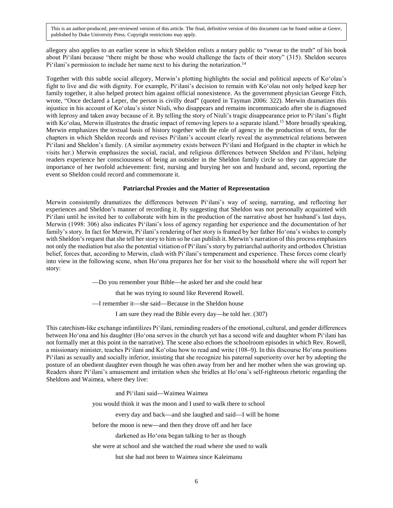allegory also applies to an earlier scene in which Sheldon enlists a notary public to "swear to the truth" of his book about Piʻilani because "there might be those who would challenge the facts of their story" (315). Sheldon secures Pi'ilani's permission to include her name next to his during the notarization.<sup>14</sup>

Together with this subtle social allegory, Merwin's plotting highlights the social and political aspects of Koʻolau's fight to live and die with dignity. For example, Piʻilani's decision to remain with Koʻolau not only helped keep her family together, it also helped protect him against official nonexistence. As the government physician George Fitch, wrote, "Once declared a Leper, the person is civilly dead" (quoted in Tayman 2006: 322). Merwin dramatizes this injustice in his account of Koʻolau's sister Niuli, who disappears and remains incommunicado after she is diagnosed with leprosy and taken away because of it. By telling the story of Niuli's tragic disappearance prior to Piʻilani's flight with Ko'olau, Merwin illustrates the drastic impact of removing lepers to a separate island.<sup>15</sup> More broadly speaking, Merwin emphasizes the textual basis of history together with the role of agency in the production of texts, for the chapters in which Sheldon records and revises Piʻilani's account clearly reveal the asymmetrical relations between Piʻilani and Sheldon's family. (A similar asymmetry exists between Piʻilani and Hofgaard in the chapter in which he visits her.) Merwin emphasizes the social, racial, and religious differences between Sheldon and Piʻilani, helping readers experience her consciousness of being an outsider in the Sheldon family circle so they can appreciate the importance of her twofold achievement: first, nursing and burying her son and husband and, second, reporting the event so Sheldon could record and commemorate it.

#### **Patriarchal Proxies and the Matter of Representation**

Merwin consistently dramatizes the differences between Piʻilani's way of seeing, narrating, and reflecting her experiences and Sheldon's manner of recording it. By suggesting that Sheldon was not personally acquainted with Piʻilani until he invited her to collaborate with him in the production of the narrative about her husband's last days, Merwin (1998: 306) also indicates Piʻilani's loss of agency regarding her experience and the documentation of her family's story. In fact for Merwin, Piʻilani's rendering of her story is framed by her father Hoʻona's wishes to comply with Sheldon's request that she tell her story to him so he can publish it. Merwin's narration of this process emphasizes not only the mediation but also the potential vitiation of Piʻilani's story by patriarchal authority and orthodox Christian belief, forces that, according to Merwin, clash with Piʻilani's temperament and experience. These forces come clearly into view in the following scene, when Hoʻona prepares her for her visit to the household where she will report her story:

—Do you remember your Bible—he asked her and she could hear

that he was trying to sound like Reverend Rowell.

—I remember it—she said—Because in the Sheldon house

I am sure they read the Bible every day—he told her. (307)

This catechism-like exchange infantilizes Piʻilani, reminding readers of the emotional, cultural, and gender differences between Hoʻona and his daughter (Hoʻona serves in the church yet has a second wife and daughter whom Piʻilani has not formally met at this point in the narrative). The scene also echoes the schoolroom episodes in which Rev. Rowell, a missionary minister, teaches Piʻilani and Koʻolau how to read and write (108–9). In this discourse Hoʻona positions Piʻilani as sexually and socially inferior, insisting that she recognize his paternal superiority over her by adopting the posture of an obedient daughter even though he was often away from her and her mother when she was growing up. Readers share Piʻilani's amusement and irritation when she bridles at Hoʻona's self-righteous rhetoric regarding the Sheldons and Waimea, where they live:

and Piʻilani said—Waimea Waimea

you would think it was the moon and I used to walk there to school

every day and back—and she laughed and said—I will be home

before the moon is new—and then they drove off and her face

darkened as Hoʻona began talking to her as though

she were at school and she watched the road where she used to walk

but she had not been to Waimea since Kaleimanu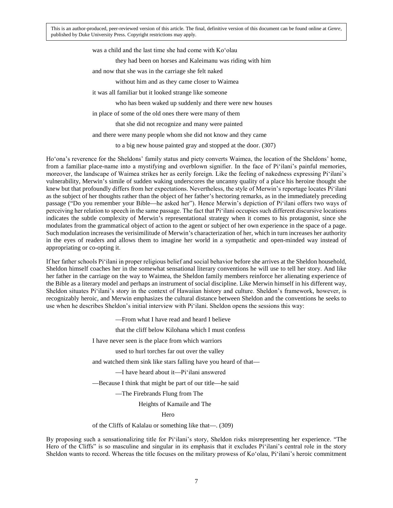was a child and the last time she had come with Koʻolau

they had been on horses and Kaleimanu was riding with him

and now that she was in the carriage she felt naked

without him and as they came closer to Waimea

it was all familiar but it looked strange like someone

who has been waked up suddenly and there were new houses

in place of some of the old ones there were many of them

that she did not recognize and many were painted

and there were many people whom she did not know and they came

to a big new house painted gray and stopped at the door. (307)

Hoʻona's reverence for the Sheldons' family status and piety converts Waimea, the location of the Sheldons' home, from a familiar place-name into a mystifying and overblown signifier. In the face of Piʻilani's painful memories, moreover, the landscape of Waimea strikes her as eerily foreign. Like the feeling of nakedness expressing Piʻilani's vulnerability, Merwin's simile of sudden waking underscores the uncanny quality of a place his heroine thought she knew but that profoundly differs from her expectations. Nevertheless, the style of Merwin's reportage locates Piʻilani as the subject of her thoughts rather than the object of her father's hectoring remarks, as in the immediately preceding passage ("Do you remember your Bible—he asked her"). Hence Merwin's depiction of Piʻilani offers two ways of perceiving her relation to speech in the same passage. The fact that Piʻilani occupies such different discursive locations indicates the subtle complexity of Merwin's representational strategy when it comes to his protagonist, since she modulates from the grammatical object of action to the agent or subject of her own experience in the space of a page. Such modulation increases the verisimilitude of Merwin's characterization of her, which in turn increases her authority in the eyes of readers and allows them to imagine her world in a sympathetic and open-minded way instead of appropriating or co-opting it.

If her father schools Piʻilani in proper religious belief and social behavior before she arrives at the Sheldon household, Sheldon himself coaches her in the somewhat sensational literary conventions he will use to tell her story. And like her father in the carriage on the way to Waimea, the Sheldon family members reinforce her alienating experience of the Bible as a literary model and perhaps an instrument of social discipline. Like Merwin himself in his different way, Sheldon situates Piʻilani's story in the context of Hawaiian history and culture. Sheldon's framework, however, is recognizably heroic, and Merwin emphasizes the cultural distance between Sheldon and the conventions he seeks to use when he describes Sheldon's initial interview with Piʻilani. Sheldon opens the sessions this way:

—From what I have read and heard I believe

that the cliff below Kilohana which I must confess

I have never seen is the place from which warriors

used to hurl torches far out over the valley

and watched them sink like stars falling have you heard of that—

—I have heard about it—Piʻilani answered

—Because I think that might be part of our title—he said

—The Firebrands Flung from The

Heights of Kamaile and The

Hero

of the Cliffs of Kalalau or something like that—. (309)

By proposing such a sensationalizing title for Piʻilani's story, Sheldon risks misrepresenting her experience. "The Hero of the Cliffs" is so masculine and singular in its emphasis that it excludes Piʻilani's central role in the story Sheldon wants to record. Whereas the title focuses on the military prowess of Koʻolau, Piʻilani's heroic commitment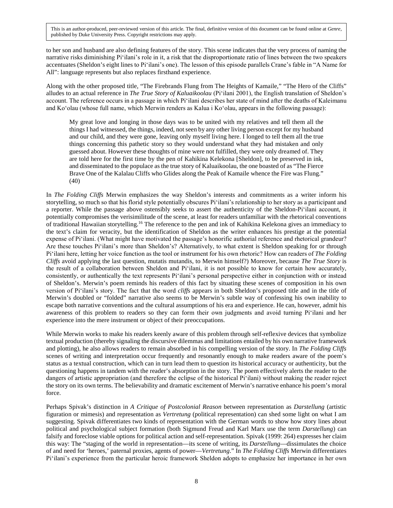to her son and husband are also defining features of the story. This scene indicates that the very process of naming the narrative risks diminishing Piʻilani's role in it, a risk that the disproportionate ratio of lines between the two speakers accentuates (Sheldon's eight lines to Piʻilani's one). The lesson of this episode parallels Crane's fable in "A Name for All": language represents but also replaces firsthand experience.

Along with the other proposed title, "The Firebrands Flung from The Heights of Kamaile," "The Hero of the Cliffs" alludes to an actual reference in *The True Story of Kaluaikoolau* (Piʻilani 2001), the English translation of Sheldon's account. The reference occurs in a passage in which Piʻilani describes her state of mind after the deaths of Kaleimanu and Koʻolau (whose full name, which Merwin renders as Kalua i Koʻolau, appears in the following passage):

My great love and longing in those days was to be united with my relatives and tell them all the things I had witnessed, the things, indeed, not seen by any other living person except for my husband and our child, and they were gone, leaving only myself living here. I longed to tell them all the true things concerning this pathetic story so they would understand what they had mistaken and only guessed about. However these thoughts of mine were not fulfilled, they were only dreamed of. They are told here for the first time by the pen of Kahikina Kelekona [Sheldon], to be preserved in ink, and disseminated to the populace as the true story of Kaluaikoolau, the one boasted of as "The Fierce Brave One of the Kalalau Cliffs who Glides along the Peak of Kamaile whence the Fire was Flung." (40)

In *The Folding Cliffs* Merwin emphasizes the way Sheldon's interests and commitments as a writer inform his storytelling, so much so that his florid style potentially obscures Piʻilani's relationship to her story as a participant and a reporter. While the passage above ostensibly seeks to assert the authenticity of the Sheldon-Piʻilani account, it potentially compromises the verisimilitude of the scene, at least for readers unfamiliar with the rhetorical conventions of traditional Hawaiian storytelling.16 The reference to the pen and ink of Kahikina Kelekona gives an immediacy to the text's claim for veracity, but the identification of Sheldon as the writer enhances his prestige at the potential expense of Piʻilani. (What might have motivated the passage's honorific authorial reference and rhetorical grandeur? Are these touches Piʻilani's more than Sheldon's? Alternatively, to what extent is Sheldon speaking for or through Piʻilani here, letting her voice function as the tool or instrument for his own rhetoric? How can readers of *The Folding Cliffs* avoid applying the last question, mutatis mutandis, to Merwin himself?) Moreover, because *The True Story* is the result of a collaboration between Sheldon and Piʻilani, it is not possible to know for certain how accurately, consistently, or authentically the text represents Piʻilani's personal perspective either in conjunction with or instead of Sheldon's. Merwin's poem reminds his readers of this fact by situating these scenes of composition in his own version of Piʻilani's story. The fact that the word *cliffs* appears in both Sheldon's proposed title and in the title of Merwin's doubled or "folded" narrative also seems to be Merwin's subtle way of confessing his own inability to escape both narrative conventions and the cultural assumptions of his era and experience. He can, however, admit his awareness of this problem to readers so they can form their own judgments and avoid turning Piʻilani and her experience into the mere instrument or object of their preoccupations.

While Merwin works to make his readers keenly aware of this problem through self-reflexive devices that symbolize textual production (thereby signaling the discursive dilemmas and limitations entailed by his own narrative framework and plotting), he also allows readers to remain absorbed in his compelling version of the story. In *The Folding Cliffs* scenes of writing and interpretation occur frequently and resonantly enough to make readers aware of the poem's status as a textual construction, which can in turn lead them to question its historical accuracy or authenticity, but the questioning happens in tandem with the reader's absorption in the story. The poem effectively alerts the reader to the dangers of artistic appropriation (and therefore the eclipse of the historical Piʻilani) without making the reader reject the story on its own terms. The believability and dramatic excitement of Merwin's narrative enhance his poem's moral force.

Perhaps Spivak's distinction in *A Critique of Postcolonial Reason* between representation as *Darstellung* (artistic figuration or mimesis) and representation as *Vertretung* (political representation) can shed some light on what I am suggesting. Spivak differentiates two kinds of representation with the German words to show how story lines about political and psychological subject formation (both Sigmund Freud and Karl Marx use the term *Darstellung*) can falsify and foreclose viable options for political action and self-representation. Spivak (1999: 264) expresses her claim this way: The "staging of the world in representation—its scene of writing, its *Darstellung*—dissimulates the choice of and need for 'heroes,' paternal proxies, agents of power—*Vertretung*." In *The Folding Cliffs* Merwin differentiates Piʻilani's experience from the particular heroic framework Sheldon adopts to emphasize her importance in her own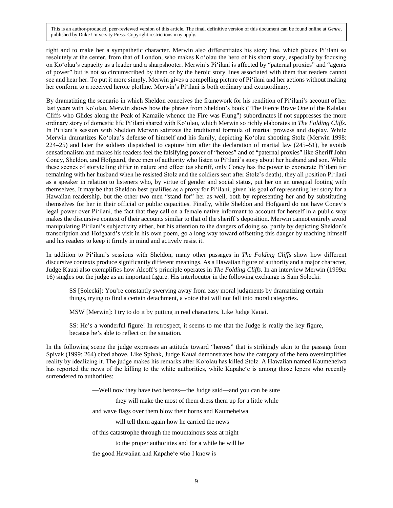right and to make her a sympathetic character. Merwin also differentiates his story line, which places Piʻilani so resolutely at the center, from that of London, who makes Koʻolau the hero of his short story, especially by focusing on Koʻolau's capacity as a leader and a sharpshooter. Merwin's Piʻilani is affected by "paternal proxies" and "agents of power" but is not so circumscribed by them or by the heroic story lines associated with them that readers cannot see and hear her. To put it more simply, Merwin gives a compelling picture of Piʻilani and her actions without making her conform to a received heroic plotline. Merwin's Piʻilani is both ordinary and extraordinary.

By dramatizing the scenario in which Sheldon conceives the framework for his rendition of Piʻilani's account of her last years with Koʻolau, Merwin shows how the phrase from Sheldon's book ("The Fierce Brave One of the Kalalau Cliffs who Glides along the Peak of Kamaile whence the Fire was Flung") subordinates if not suppresses the more ordinary story of domestic life Piʻilani shared with Koʻolau, which Merwin so richly elaborates in *The Folding Cliffs*. In Piʻilani's session with Sheldon Merwin satirizes the traditional formula of martial prowess and display. While Merwin dramatizes Koʻolau's defense of himself and his family, depicting Koʻolau shooting Stolz (Merwin 1998: 224–25) and later the soldiers dispatched to capture him after the declaration of martial law (245–51), he avoids sensationalism and makes his readers feel the falsifying power of "heroes" and of "paternal proxies" like Sheriff John Coney, Sheldon, and Hofgaard, three men of authority who listen to Piʻilani's story about her husband and son. While these scenes of storytelling differ in nature and effect (as sheriff, only Coney has the power to exonerate Piʻilani for remaining with her husband when he resisted Stolz and the soldiers sent after Stolz's death), they all position Piʻilani as a speaker in relation to listeners who, by virtue of gender and social status, put her on an unequal footing with themselves. It may be that Sheldon best qualifies as a proxy for Piʻilani, given his goal of representing her story for a Hawaiian readership, but the other two men "stand for" her as well, both by representing her and by substituting themselves for her in their official or public capacities. Finally, while Sheldon and Hofgaard do not have Coney's legal power over Piʻilani, the fact that they call on a female native informant to account for herself in a public way makes the discursive context of their accounts similar to that of the sheriff's deposition. Merwin cannot entirely avoid manipulating Piʻilani's subjectivity either, but his attention to the dangers of doing so, partly by depicting Sheldon's transcription and Hofgaard's visit in his own poem, go a long way toward offsetting this danger by teaching himself and his readers to keep it firmly in mind and actively resist it.

In addition to Piʻilani's sessions with Sheldon, many other passages in *The Folding Cliffs* show how different discursive contexts produce significantly different meanings. As a Hawaiian figure of authority and a major character, Judge Kauai also exemplifies how Alcoff's principle operates in *The Folding Cliffs*. In an interview Merwin (1999a: 16) singles out the judge as an important figure. His interlocutor in the following exchange is Sam Solecki:

SS [Solecki]: You're constantly swerving away from easy moral judgments by dramatizing certain things, trying to find a certain detachment, a voice that will not fall into moral categories.

MSW [Merwin]: I try to do it by putting in real characters. Like Judge Kauai.

SS: He's a wonderful figure! In retrospect, it seems to me that the Judge is really the key figure, because he's able to reflect on the situation.

In the following scene the judge expresses an attitude toward "heroes" that is strikingly akin to the passage from Spivak (1999: 264) cited above. Like Spivak, Judge Kauai demonstrates how the category of the hero oversimplifies reality by idealizing it. The judge makes his remarks after Koʻolau has killed Stolz. A Hawaiian named Kaumeheiwa has reported the news of the killing to the white authorities, while Kapaheʻe is among those lepers who recently surrendered to authorities:

—Well now they have two heroes—the Judge said—and you can be sure

they will make the most of them dress them up for a little while

and wave flags over them blow their horns and Kaumeheiwa

will tell them again how he carried the news

of this catastrophe through the mountainous seas at night

to the proper authorities and for a while he will be

the good Hawaiian and Kapaheʻe who I know is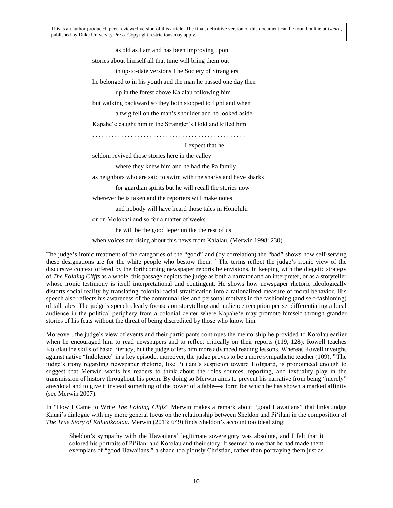> as old as I am and has been improving upon stories about himself all that time will bring them out in up-to-date versions The Society of Stranglers he belonged to in his youth and the man he passed one day then up in the forest above Kalalau following him but walking backward so they both stopped to fight and when a twig fell on the man's shoulder and he looked aside Kapaheʻe caught him in the Strangler's Hold and killed him . . . . . . . . . . . . . . . . . . . . . . . . . . . . . . . . . . . . . . . . . . . . . . . . I expect that he

seldom revived those stories here in the valley

where they knew him and he had the Pa family

as neighbors who are said to swim with the sharks and have sharks

for guardian spirits but he will recall the stories now

wherever he is taken and the reporters will make notes

and nobody will have heard those tales in Honolulu

or on Molokaʻi and so for a matter of weeks

he will be the good leper unlike the rest of us

when voices are rising about this news from Kalalau. (Merwin 1998: 230)

The judge's ironic treatment of the categories of the "good" and (by correlation) the "bad" shows how self-serving these designations are for the white people who bestow them.17 The terms reflect the judge's ironic view of the discursive context offered by the forthcoming newspaper reports he envisions. In keeping with the diegetic strategy of *The Folding Cliffs* as a whole, this passage depicts the judge as both a narrator and an interpreter, or as a storyteller whose ironic testimony is itself interpretational and contingent. He shows how newspaper rhetoric ideologically distorts social reality by translating colonial racial stratification into a rationalized measure of moral behavior. His speech also reflects his awareness of the communal ties and personal motives in the fashioning (and self-fashioning) of tall tales. The judge's speech clearly focuses on storytelling and audience reception per se, differentiating a local audience in the political periphery from a colonial center where Kapaheʻe may promote himself through grander stories of his feats without the threat of being discredited by those who know him.

Moreover, the judge's view of events and their participants continues the mentorship he provided to Koʻolau earlier when he encouraged him to read newspapers and to reflect critically on their reports (119, 128). Rowell teaches Koʻolau the skills of basic literacy, but the judge offers him more advanced reading lessons. Whereas Rowell inveighs against native "Indolence" in a key episode, moreover, the judge proves to be a more sympathetic teacher (109).<sup>18</sup> The judge's irony regarding newspaper rhetoric, like Piʻilani's suspicion toward Hofgaard, is pronounced enough to suggest that Merwin wants his readers to think about the roles sources, reporting, and textuality play in the transmission of history throughout his poem. By doing so Merwin aims to prevent his narrative from being "merely" anecdotal and to give it instead something of the power of a fable—a form for which he has shown a marked affinity (see Merwin 2007).

In "How I Came to Write *The Folding Cliffs*" Merwin makes a remark about "good Hawaiians" that links Judge Kauai's dialogue with my more general focus on the relationship between Sheldon and Piʻilani in the composition of *The True Story of Kaluaikoolau*. Merwin (2013: 649) finds Sheldon's account too idealizing:

Sheldon's sympathy with the Hawaiians' legitimate sovereignty was absolute, and I felt that it colored his portraits of Piʻilani and Koʻolau and their story. It seemed to me that he had made them exemplars of "good Hawaiians," a shade too piously Christian, rather than portraying them just as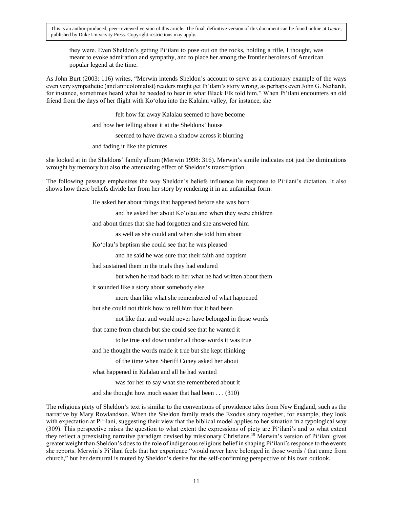they were. Even Sheldon's getting Piʻilani to pose out on the rocks, holding a rifle, I thought, was meant to evoke admiration and sympathy, and to place her among the frontier heroines of American popular legend at the time.

As John Burt (2003: 116) writes, "Merwin intends Sheldon's account to serve as a cautionary example of the ways even very sympathetic (and anticolonialist) readers might get Piʻilani's story wrong, as perhaps even John G. Neihardt, for instance, sometimes heard what he needed to hear in what Black Elk told him." When Piʻilani encounters an old friend from the days of her flight with Koʻolau into the Kalalau valley, for instance, she

felt how far away Kalalau seemed to have become

and how her telling about it at the Sheldons' house

seemed to have drawn a shadow across it blurring

and fading it like the pictures

she looked at in the Sheldons' family album (Merwin 1998: 316). Merwin's simile indicates not just the diminutions wrought by memory but also the attenuating effect of Sheldon's transcription.

The following passage emphasizes the way Sheldon's beliefs influence his response to Piʻilani's dictation. It also shows how these beliefs divide her from her story by rendering it in an unfamiliar form:

He asked her about things that happened before she was born

and he asked her about Koʻolau and when they were children

and about times that she had forgotten and she answered him

as well as she could and when she told him about

Koʻolau's baptism she could see that he was pleased

and he said he was sure that their faith and baptism

had sustained them in the trials they had endured

but when he read back to her what he had written about them

it sounded like a story about somebody else

more than like what she remembered of what happened

but she could not think how to tell him that it had been

not like that and would never have belonged in those words

that came from church but she could see that he wanted it

to be true and down under all those words it was true

and he thought the words made it true but she kept thinking

of the time when Sheriff Coney asked her about

what happened in Kalalau and all he had wanted

was for her to say what she remembered about it

and she thought how much easier that had been . . . (310)

The religious piety of Sheldon's text is similar to the conventions of providence tales from New England, such as the narrative by Mary Rowlandson. When the Sheldon family reads the Exodus story together, for example, they look with expectation at Pi'ilani, suggesting their view that the biblical model applies to her situation in a typological way (309). This perspective raises the question to what extent the expressions of piety are Piʻilani's and to what extent they reflect a preexisting narrative paradigm devised by missionary Christians.19 Merwin's version of Piʻilani gives greater weight than Sheldon's does to the role of indigenous religious belief in shaping Piʻilani's response to the events she reports. Merwin's Piʻilani feels that her experience "would never have belonged in those words / that came from church," but her demurral is muted by Sheldon's desire for the self-confirming perspective of his own outlook.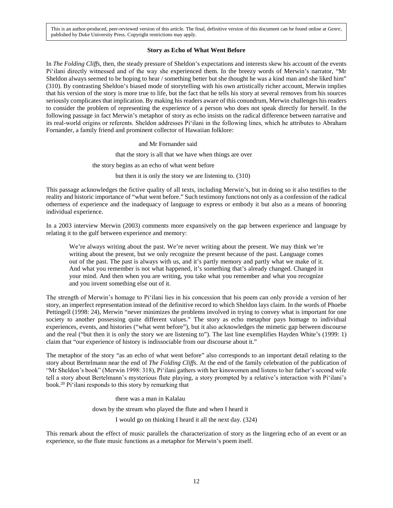#### **Story as Echo of What Went Before**

In *The Folding Cliffs*, then, the steady pressure of Sheldon's expectations and interests skew his account of the events Piʻilani directly witnessed and of the way she experienced them. In the breezy words of Merwin's narrator, "Mr Sheldon always seemed to be hoping to hear / something better but she thought he was a kind man and she liked him" (310). By contrasting Sheldon's biased mode of storytelling with his own artistically richer account, Merwin implies that his version of the story is more true to life, but the fact that he tells his story at several removes from his sources seriously complicates that implication. By making his readers aware of this conundrum, Merwin challenges his readers to consider the problem of representing the experience of a person who does not speak directly for herself. In the following passage in fact Merwin's metaphor of story as echo insists on the radical difference between narrative and its real-world origins or referents. Sheldon addresses Piʻilani in the following lines, which he attributes to Abraham Fornander, a family friend and prominent collector of Hawaiian folklore:

> and Mr Fornander said that the story is all that we have when things are over the story begins as an echo of what went before but then it is only the story we are listening to. (310)

This passage acknowledges the fictive quality of all texts, including Merwin's, but in doing so it also testifies to the reality and historic importance of "what went before." Such testimony functions not only as a confession of the radical otherness of experience and the inadequacy of language to express or embody it but also as a means of honoring individual experience.

In a 2003 interview Merwin (2003) comments more expansively on the gap between experience and language by relating it to the gulf between experience and memory:

We're always writing about the past. We're never writing about the present. We may think we're writing about the present, but we only recognize the present because of the past. Language comes out of the past. The past is always with us, and it's partly memory and partly what we make of it. And what you remember is not what happened, it's something that's already changed. Changed in your mind. And then when you are writing, you take what you remember and what you recognize and you invent something else out of it.

The strength of Merwin's homage to Piʻilani lies in his concession that his poem can only provide a version of her story, an imperfect representation instead of the definitive record to which Sheldon lays claim. In the words of Phoebe Pettingell (1998: 24), Merwin "never minimizes the problems involved in trying to convey what is important for one society to another possessing quite different values." The story as echo metaphor pays homage to individual experiences, events, and histories ("what went before"), but it also acknowledges the mimetic gap between discourse and the real ("but then it is only the story we are listening to"). The last line exemplifies Hayden White's (1999: 1) claim that "our experience of history is indissociable from our discourse about it."

The metaphor of the story "as an echo of what went before" also corresponds to an important detail relating to the story about Bertelmann near the end of *The Folding Cliffs*. At the end of the family celebration of the publication of "Mr Sheldon's book" (Merwin 1998: 318), Piʻilani gathers with her kinswomen and listens to her father's second wife tell a story about Bertelmann's mysterious flute playing, a story prompted by a relative's interaction with Piʻilani's book.20 Piʻilani responds to this story by remarking that

there was a man in Kalalau

down by the stream who played the flute and when I heard it

I would go on thinking I heard it all the next day. (324)

This remark about the effect of music parallels the characterization of story as the lingering echo of an event or an experience, so the flute music functions as a metaphor for Merwin's poem itself.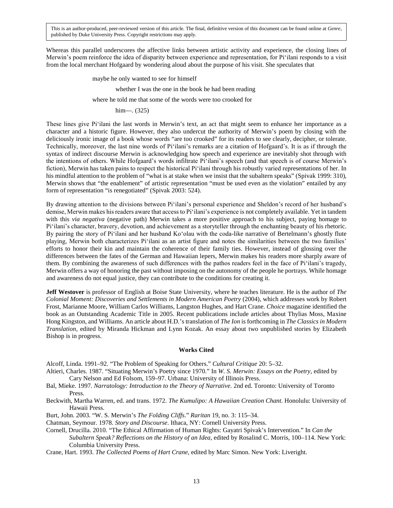Whereas this parallel underscores the affective links between artistic activity and experience, the closing lines of Merwin's poem reinforce the idea of disparity between experience and representation, for Piʻilani responds to a visit from the local merchant Hofgaard by wondering aloud about the purpose of his visit. She speculates that

maybe he only wanted to see for himself

whether I was the one in the book he had been reading

where he told me that some of the words were too crooked for

him—. (325)

These lines give Piʻilani the last words in Merwin's text, an act that might seem to enhance her importance as a character and a historic figure. However, they also undercut the authority of Merwin's poem by closing with the deliciously ironic image of a book whose words "are too crooked" for its readers to see clearly, decipher, or tolerate. Technically, moreover, the last nine words of Piʻilani's remarks are a citation of Hofgaard's. It is as if through the syntax of indirect discourse Merwin is acknowledging how speech and experience are inevitably shot through with the intentions of others. While Hofgaard's words infiltrate Piʻilani's speech (and that speech is of course Merwin's fiction), Merwin has taken pains to respect the historical Piʻilani through his robustly varied representations of her. In his mindful attention to the problem of "what is at stake when we insist that the subaltern speaks" (Spivak 1999: 310), Merwin shows that "the enablement" of artistic representation "must be used even as the violation" entailed by any form of representation "is renegotiated" (Spivak 2003: 524).

By drawing attention to the divisions between Piʻilani's personal experience and Sheldon's record of her husband's demise, Merwin makes his readers aware that access to Piʻilani's experience is not completely available. Yet in tandem with this *via negativa* (negative path) Merwin takes a more positive approach to his subject, paying homage to Piʻilani's character, bravery, devotion, and achievement as a storyteller through the enchanting beauty of his rhetoric. By pairing the story of Piʻilani and her husband Koʻolau with the coda-like narrative of Bertelmann's ghostly flute playing, Merwin both characterizes Piʻilani as an artist figure and notes the similarities between the two families' efforts to honor their kin and maintain the coherence of their family ties. However, instead of glossing over the differences between the fates of the German and Hawaiian lepers, Merwin makes his readers more sharply aware of them. By combining the awareness of such differences with the pathos readers feel in the face of Piʻilani's tragedy, Merwin offers a way of honoring the past without imposing on the autonomy of the people he portrays. While homage and awareness do not equal justice, they can contribute to the conditions for creating it.

**Jeff Westover** is professor of English at Boise State University, where he teaches literature. He is the author of *The Colonial Moment: Discoveries and Settlements in Modern American Poetry* (2004), which addresses work by Robert Frost, Marianne Moore, William Carlos Williams, Langston Hughes, and Hart Crane. *Choice* magazine identified the book as an Outstanding Academic Title in 2005. Recent publications include articles about Thylias Moss, Maxine Hong Kingston, and Williams. An article about H.D.'s translation of *The Ion* is forthcoming in *The Classics in Modern Translation*, edited by Miranda Hickman and Lynn Kozak. An essay about two unpublished stories by Elizabeth Bishop is in progress.

#### **Works Cited**

Alcoff, Linda. 1991–92. "The Problem of Speaking for Others." *Cultural Critique* 20: 5–32.

- Altieri, Charles. 1987. "Situating Merwin's Poetry since 1970." In *W. S. Merwin: Essays on the Poetry*, edited by Cary Nelson and Ed Folsom, 159–97. Urbana: University of Illinois Press.
- Bal, Mieke. 1997. *Narratology: Introduction to the Theory of Narrative*. 2nd ed. Toronto: University of Toronto Press.
- Beckwith, Martha Warren, ed. and trans. 1972. *The Kumulipo: A Hawaiian Creation Chant*. Honolulu: University of Hawaii Press.
- Burt, John. 2003. "W. S. Merwin's *The Folding Cliffs*." *Raritan* 19, no. 3: 115–34.

Chatman, Seymour. 1978. *Story and Discourse*. Ithaca, NY: Cornell University Press.

Cornell, Drucilla. 2010. "The Ethical Affirmation of Human Rights: Gayatri Spivak's Intervention." In *Can the Subaltern Speak? Reflections on the History of an Idea*, edited by Rosalind C. Morris, 100–114. New York: Columbia University Press.

Crane, Hart. 1993. *The Collected Poems of Hart Crane*, edited by Marc Simon. New York: Liveright.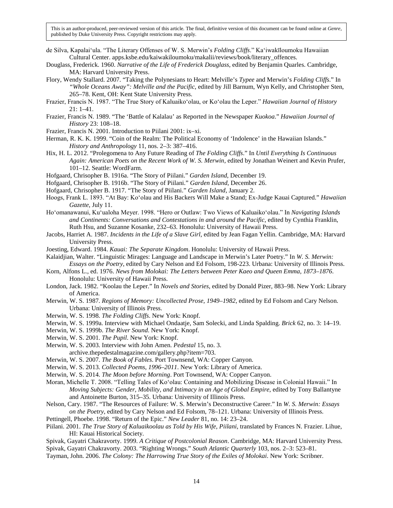- de Silva, Kapalaiʻula. "The Literary Offenses of W. S. Merwin's *Folding Cliffs*." Kaʻiwakīloumoku Hawaiian Cultural Center. apps.ksbe.edu/kaiwakiloumoku/makalii/reviews/book/literary\_offences.
- Douglass, Frederick. 1960. *Narrative of the Life of Frederick Douglass*, edited by Benjamin Quarles. Cambridge, MA: Harvard University Press.
- Flory, Wendy Stallard. 2007. "Taking the Polynesians to Heart: Melville's *Typee* and Merwin's *Folding Cliffs*." In *"Whole Oceans Away": Melville and the Pacific*, edited by Jill Barnum, Wyn Kelly, and Christopher Sten, 265–78. Kent, OH: Kent State University Press.
- Frazier, Francis N. 1987. "The True Story of Kaluaikoʻolau, or Koʻolau the Leper." *Hawaiian Journal of History* 21: 1–41.
- Frazier, Francis N. 1989. "The 'Battle of Kalalau' as Reported in the Newspaper *Kuokoa*." *Hawaiian Journal of History* 23: 108–18.
- Frazier, Francis N. 2001. Introduction to Piilani 2001: ix–xi.
- Herman, R. K. K. 1999. "Coin of the Realm: The Political Economy of 'Indolence' in the Hawaiian Islands." *History and Anthropology* 11, nos. 2–3: 387–416.
- Hix, H. L. 2012. "Prolegomena to Any Future Reading of *The Folding Cliffs*." In *Until Everything Is Continuous Again: American Poets on the Recent Work of W. S. Merwin*, edited by Jonathan Weinert and Kevin Prufer, 101–12. Seattle: WordFarm.
- Hofgaard, Chrisopher B. 1916a. "The Story of Piilani." *Garden Island*, December 19.
- Hofgaard, Chrisopher B. 1916b. "The Story of Piilani." *Garden Island*, December 26.
- Hofgaard, Chrisopher B. 1917. "The Story of Piilani." *Garden Island*, January 2.
- Hoogs, Frank L. 1893. "At Bay: Koʻolau and His Backers Will Make a Stand; Ex-Judge Kauai Captured." *Hawaiian Gazette*, July 11.
- Hoʻomanawanui, Kuʻualoha Meyer. 1998. "Hero or Outlaw: Two Views of Kaluaikoʻolau." In *Navigating Islands and Continents: Conversations and Contestations in and around the Pacific*, edited by Cynthia Franklin, Ruth Hsu, and Suzanne Kosanke, 232–63. Honolulu: University of Hawaii Press.
- Jacobs, Harriet A. 1987. *Incidents in the Life of a Slave Girl*, edited by Jean Fagan Yellin. Cambridge, MA: Harvard University Press.
- Joesting, Edward. 1984. *Kauai: The Separate Kingdom*. Honolulu: University of Hawaii Press.
- Kalaidjian, Walter. "Linguistic Mirages: Language and Landscape in Merwin's Later Poetry." In *W. S. Merwin: Essays on the Poetry*, edited by Cary Nelson and Ed Folsom, 198-223. Urbana: University of Illinois Press.
- Korn, Alfons L., ed. 1976. *News from Molokai: The Letters between Peter Kaeo and Queen Emma, 1873–1876*. Honolulu: University of Hawaii Press.
- London, Jack. 1982. "Koolau the Leper." In *Novels and Stories*, edited by Donald Pizer, 883–98. New York: Library of America.
- Merwin, W. S. 1987. *Regions of Memory: Uncollected Prose, 1949–1982*, edited by Ed Folsom and Cary Nelson. Urbana: University of Illinois Press.
- Merwin, W. S. 1998. *The Folding Cliffs*. New York: Knopf.
- Merwin, W. S. 1999a. Interview with Michael Ondaatje, Sam Solecki, and Linda Spalding. *Brick* 62, no. 3: 14–19.
- Merwin, W. S. 1999b. *The River Sound*. New York: Knopf.
- Merwin, W. S. 2001. *The Pupil*. New York: Knopf.
- Merwin, W. S. 2003. Interview with John Amen. *Pedestal* 15, no. 3.
- archive.thepedestalmagazine.com/gallery.php?item=703.
- Merwin, W. S. 2007. *The Book of Fables*. Port Townsend, WA: Copper Canyon.
- Merwin, W. S. 2013. *Collected Poems, 1996–2011*. New York: Library of America.
- Merwin, W. S. 2014. *The Moon before Morning*. Port Townsend, WA: Copper Canyon.
- Moran, Michelle T. 2008. "Telling Tales of Koʻolau: Containing and Mobilizing Disease in Colonial Hawaii." In *Moving Subjects: Gender, Mobility, and Intimacy in an Age of Global Empire*, edited by Tony Ballantyne and Antoinette Burton, 315–35. Urbana: University of Illinois Press.
- Nelson, Cary. 1987. "The Resources of Failure: W. S. Merwin's Deconstructive Career." In *W. S. Merwin: Essays on the Poetry*, edited by Cary Nelson and Ed Folsom, 78–121. Urbana: University of Illinois Press.
- Pettingell, Phoebe. 1998. "Return of the Epic." *New Leader* 81, no. 14: 23–24.
- Piilani. 2001. *The True Story of Kaluaikoolau as Told by His Wife, Piilani*, translated by Frances N. Frazier. Lihue, HI: Kauai Historical Society.
- Spivak, Gayatri Chakravorty. 1999. *A Critique of Postcolonial Reason*. Cambridge, MA: Harvard University Press. Spivak, Gayatri Chakravorty. 2003. "Righting Wrongs." *South Atlantic Quarterly* 103, nos. 2–3: 523–81.
- Tayman, John. 2006. *The Colony: The Harrowing True Story of the Exiles of Molokai*. New York: Scribner.